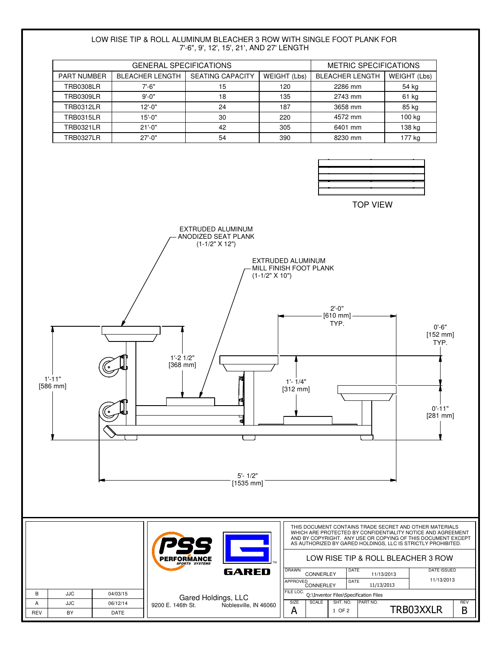#### LOW RISE TIP & ROLL ALUMINUM BLEACHER 3 ROW WITH SINGLE FOOT PLANK FOR 7'-6", 9', 12', 15', 21', AND 27' LENGTH

| <b>GENERAL SPECIFICATIONS</b> |                        |                         |              | <b>METRIC SPECIFICATIONS</b> |              |
|-------------------------------|------------------------|-------------------------|--------------|------------------------------|--------------|
| <b>PART NUMBER</b>            | <b>BLEACHER LENGTH</b> | <b>SEATING CAPACITY</b> | WEIGHT (Lbs) | <b>BLEACHER LENGTH</b>       | WEIGHT (Lbs) |
| <b>TRB0308LR</b>              | 7'-6"                  | 15                      | 120          | 2286 mm                      | 54 kg        |
| <b>TRB0309LR</b>              | $9' - 0''$             | 18                      | 135          | 2743 mm                      | 61 kg        |
| <b>TRB0312LR</b>              | $12 - 0"$              | 24                      | 187          | 3658 mm                      | 85 kg        |
| <b>TRB0315LR</b>              | $15 - 0$ "             | 30                      | 220          | 4572 mm                      | 100 kg       |
| <b>TRB0321LR</b>              | $21'-0$ "              | 42                      | 305          | 6401 mm                      | 138 kg       |
| <b>TRB0327LR</b>              | $27 - 0"$              | 54                      | 390          | 8230 mm                      | 177 kg       |



TOP VIEW